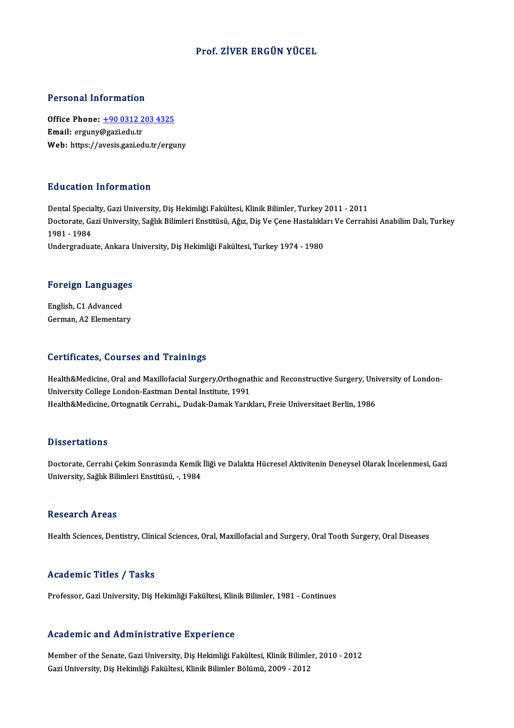### Prof. ZİVER ERGÜN YÜCEL

#### Personal Information

Personal Information<br>Office Phone: <u>+90 0312 203 4325</u><br>Email: erguny@seriedu.tr 1 STOOMAT INTOI INCLUDE<br>Office Phone: <u>+90 0312 2</u><br>Email: erguny@gazi.edu.tr Email: erguny@gazi.edu.tr<br>Web: https://a[vesis.gazi.edu.tr/ergu](tel:+90 0312 203 4325)ny

#### Education Information

Dental Specialty, Gazi University, Diş Hekimliği Fakültesi, Klinik Bilimler, Turkey 2011 - 2011 Da a Satron' Throf Inatron'<br>Dental Specialty, Gazi University, Diş Hekimliği Fakültesi, Klinik Bilimler, Turkey 2011 - 2011<br>Doctorate, Gazi University, Sağlık Bilimleri Enstitüsü, Ağız, Diş Ve Çene Hastalıkları Ve Cerrahis Dental Specia<br>Doctorate, Ga<br>1981 - 1984<br>Undergradue Doctorate, Gazi University, Sağlık Bilimleri Enstitüsü, Ağız, Diş Ve Çene Hastalıkla<br>1981 - 1984<br>Undergraduate, Ankara University, Diş Hekimliği Fakültesi, Turkey 1974 - 1980

# <sub>Undergraduate, Ankara t<br>Foreign Languages</sub>

**Foreign Language<br>English, C1 Advanced<br>Corman A2 Elemental** English, C1 Advanced<br>German, A2 Elementary

#### Certificates, Courses and Trainings

Certificates, Courses and Trainings<br>Health&Medicine, Oral and Maxillofacial Surgery,Orthognathic and Reconstructive Surgery, University of London-<br>University College London Fastman Dontal Institute, 1991 University College London-Eastman Dental Institute, 1991<br>Health&Medicine, Ortognatik Cerrahi.,. Dudak-Damak Yarıkları, Freie Universitaet Berlin, 1986 Health&Medicine, Oral and Maxillofacial Surgery,Orthognathic and Reconstructive Surgery, Uni<br>University College London-Eastman Dental Institute, 1991<br>Health&Medicine, Ortognatik Cerrahi,,. Dudak-Damak Yarıkları, Freie Univ

#### **Dissertations**

Dissertations<br>Doctorate, Cerrahi Çekim Sonrasında Kemik İliği ve Dalakta Hücresel Aktivitenin Deneysel Olarak İncelenmesi, Gazi<br>University, Soğluk Bilimleri Enstitüsü — 1984 D 19901 tatrome<br>Doctorate, Cerrahi Çekim Sonrasında Kemik<br>University, Sağlık Bilimleri Enstitüsü, -, 1984 University, Sağlık Bilimleri Enstitüsü, -, 1984<br>Research Areas

Health Sciences, Dentistry, Clinical Sciences, Oral, Maxillofacial and Surgery, Oral Tooth Surgery, Oral Diseases

### Academic Titles / Tasks

Professor, Gazi University, Diş Hekimliği Fakültesi, Klinik Bilimler, 1981 - Continues

### Academic and Administrative Experience

Member of the Senate, Gazi University, Diş Hekimliği Fakültesi, Klinik Bilimler, 2010 - 2012 Gazi University, Diş Hekimliği Fakültesi, Klinik Bilimler Bölümü, 2009 - 2012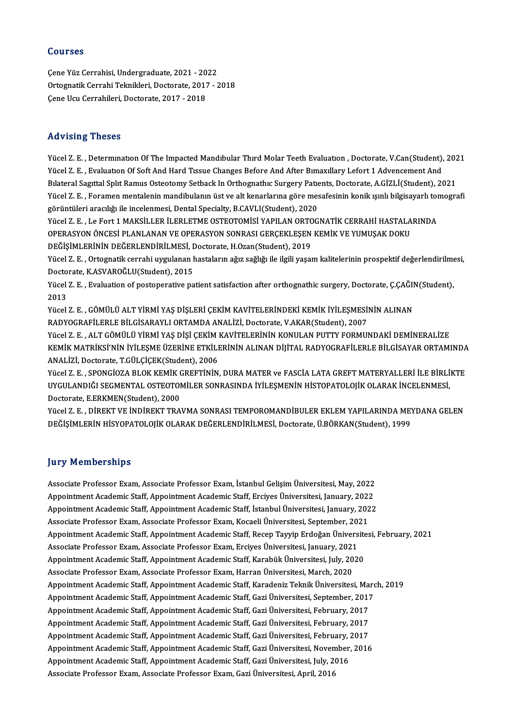#### Courses

ÇeneYüzCerrahisi,Undergraduate,2021 -2022 Ortognatik Cerrahi Teknikleri, Doctorate, 2017 - 2018 Çene Ucu Cerrahileri, Doctorate, 2017 - 2018

### Advising Theses

Yücel Z.E., Determination Of The Impacted Mandibular Third Molar Teeth Evaluation, Doctorate, V.Can(Student), 2021 Yücel Z. E. , Determination Of The Impacted Mandibular Third Molar Teeth Evaluation , Doctorate, V.Can(Student),<br>Yücel Z. E. , Evaluation Of Soft And Hard Tissue Changes Before And After Bimaxillary Lefort 1 Advencement An Yücel Z. E. , Determination Of The Impacted Mandibular Third Molar Teeth Evaluation , Doctorate, V.Can(Student), 202<br>Pücel Z. E. , Evaluation Of Soft And Hard Tissue Changes Before And After Bimaxillary Lefort 1 Advencemen Yücel Z. E. , Evaluation Of Soft And Hard Tissue Changes Before And After Bimaxillary Lefort 1 Advencement And<br>Bilateral Sagittal Split Ramus Osteotomy Setback In Orthognathic Surgery Patients, Doctorate, A.GİZLİ(Student), Bılateral Sagıttal Splıt Ramus Osteotomy Setback In Orthognathıc Surgery Patients, Doctorate, A.GİZLİ(Student), 2021<br>Yücel Z. E. , Foramen mentalenin mandibulanın üst ve alt kenarlarına göre mesafesinin konik ışınlı bilgis Yücel Z.E., Foramen mentalenin mandibulanın üst ve alt kenarlarına göre mesafesinin konik ışınlı bilgisayarlı tomografi

OPERASYON ÖNCESİ PLANLANAN VE OPERASYON SONRASI GERÇEKLEŞEN KEMİK VE YUMUŞAK DOKU Yücel Z. E. , Le Fort 1 MAKSİLLER İLERLETME OSTEOTOMİSİ YAPILAN ORTC<br>OPERASYON ÖNCESİ PLANLANAN VE OPERASYON SONRASI GERÇEKLEŞEN<br>DEĞİŞİMLERİNİN DEĞERLENDİRİLMESİ, Doctorate, H.Ozan(Student), 2019<br>Vücel Z. E., Ortografik so OPERASYON ÖNCESİ PLANLANAN VE OPERASYON SONRASI GERÇEKLEŞEN KEMİK VE YUMUŞAK DOKU<br>DEĞİŞİMLERİNİN DEĞERLENDİRİLMESİ, Doctorate, H.Ozan(Student), 2019<br>Yücel Z. E. , Ortognatik cerrahi uygulanan hastaların ağız sağlığı ile il

DEĞİŞİMLERİNİN DEĞERLENDİRİLMESİ, I<br>Yücel Z. E. , Ortognatik cerrahi uygulanan l<br>Doctorate, K.ASVAROĞLU(Student), 2015<br><sup>Yücel Z. E.</sup> Evelyation ef nestenerative na Yücel Z. E. , Ortognatik cerrahi uygulanan hastaların ağız sağlığı ile ilgili yaşam kalitelerinin prospektif değerlendirilme<br>Doctorate, K.ASVAROĞLU(Student), 2015<br>Yücel Z. E. , Evaluation of postoperative patient satisfact

Doctorate, K.ASVAROĞLU(Student), 2015<br>Yücel Z. E. , Evaluation of postoperative patient satisfaction after orthognathic surgery, Doctorate, Ç.ÇAĞIN(Student),<br>2013 Yücel Z. E. , Evaluation of postoperative patient satisfaction after orthognathic surgery, Doctorate, Ç.ÇAĞII<br>2013<br>Yücel Z. E. , GÖMÜLÜ ALT YİRMİ YAŞ DİŞLERİ ÇEKİM KAVİTELERİNDEKİ KEMİK İYİLEŞMESİNİN ALINAN<br>RADYOCRAFİLERLE

2013<br>Yücel Z. E. , GÖMÜLÜ ALT YİRMİ YAŞ DİŞLERİ ÇEKİM KAVİTELERİNDEKİ KEMİK İYİLEŞMESİ!<br>RADYOGRAFİLERLE BİLGİSARAYLI ORTAMDA ANALİZİ, Doctorate, V.AKAR(Student), 2007<br>Yücel Z. E., ALT GÖMÜLÜ YIRMI YAŞ DİŞİ CEKİM KAVİTELERİ Yücel Z. E. , GÖMÜLÜ ALT YİRMİ YAŞ DİŞLERİ ÇEKİM KAVİTELERİNDEKİ KEMİK İYİLEŞMESİNİN ALINAN<br>RADYOGRAFİLERLE BİLGİSARAYLI ORTAMDA ANALİZİ, Doctorate, V.AKAR(Student), 2007<br>Yücel Z. E. , ALT GÖMÜLÜ YİRMİ YAŞ DİŞİ ÇEKİM KAVİT

RADYOGRAFİLERLE BİLGİSARAYLI ORTAMDA ANALİZİ, Doctorate, V.AKAR(Student), 2007<br>Yücel Z. E. , ALT GÖMÜLÜ YİRMİ YAŞ DİŞİ ÇEKİM KAVİTELERİNİN KONULAN PUTTY FORMUNDAKİ DEMİNERALİZE<br>KEMİK MATRİKSİ'NİN İYİLEŞME ÜZERİNE ETKİLERİN Yücel Z. E. , ALT GÖMÜLÜ YİRMİ YAŞ DİŞİ ÇEKİM |<br>KEMİK MATRİKSİ'NİN İYİLEŞME ÜZERİNE ETKİLI<br>ANALİZİ, Doctorate, T.GÜLÇİÇEK(Student), 2006<br>Yüsel Z. E., SPONÇİQZA BI OK KEMİK ÇREFTİNİN KEMİK MATRİKSİ'NİN İYİLEŞME ÜZERİNE ETKİLERİNİN ALINAN DİJİTAL RADYOGRAFİLERLE BİLGİSAYAR ORTAMINDA<br>ANALİZİ, Doctorate, T.GÜLÇİÇEK(Student), 2006<br>Yücel Z. E. , SPONGİOZA BLOK KEMİK GREFTİNİN, DURA MATER ve FASCİA LATA GREF

ANALİZİ, Doctorate, T.GÜLÇİÇEK(Student), 2006<br>Yücel Z. E. , SPONGİOZA BLOK KEMİK GREFTİNİN, DURA MATER ve FASCİA LATA GREFT MATERYALLERİ İLE BİRLİ<br>UYGULANDIĞI SEGMENTAL OSTEOTOMİLER SONRASINDA İYİLEŞMENİN HİSTOPATOLOJİK OL Yücel Z. E. , SPONGİOZA BLOK KEMİK (<br>UYGULANDIĞI SEGMENTAL OSTEOTOI<br>Doctorate, E.ERKMEN(Student), 2000<br>Vücel Z. E., DİREKT VE İNDİREKT TRA UYGULANDIĞI SEGMENTAL OSTEOTOMİLER SONRASINDA İYİLEŞMENİN HİSTOPATOLOJİK OLARAK İNCELENMESİ,<br>Doctorate, E.ERKMEN(Student), 2000<br>Yücel Z. E. , DİREKT VE İNDİREKT TRAVMA SONRASI TEMPOROMANDİBULER EKLEM YAPILARINDA MEYDANA GE

Doctorate, E.ERKMEN(Student), 2000<br>Yücel Z. E. , DİREKT VE İNDİREKT TRAVMA SONRASI TEMPOROMANDİBULER EKLEM YAPILARINDA MEY<br>DEĞİŞİMLERİN HİSYOPATOLOJİK OLARAK DEĞERLENDİRİLMESİ, Doctorate, Ü.BÖRKAN(Student), 1999 DEĞİŞİMLERİN HİSYOPATOLOJİK OLARAK DEĞERLENDİRİLMESİ, Doctorate, Ü.BÖRKAN(Student), 1999<br>Jury Memberships

Associate Professor Exam, Associate Professor Exam, İstanbul Gelişim Üniversitesi, May, 2022 Associate Professor Exam, Associate Professor Exam, İstanbul Gelişim Üniversitesi, May, 2022<br>Appointment Academic Staff, Appointment Academic Staff, Erciyes Üniversitesi, January, 2022<br>Appointment Academic Staff, Appointme Associate Professor Exam, Associate Professor Exam, İstanbul Gelişim Üniversitesi, May, 2022<br>Appointment Academic Staff, Appointment Academic Staff, Erciyes Üniversitesi, January, 2022<br>Appointment Academic Staff, Appointme Appointment Academic Staff, Appointment Academic Staff, Erciyes Üniversitesi, January, 202<br>Appointment Academic Staff, Appointment Academic Staff, İstanbul Üniversitesi, January, 202<br>Associate Professor Exam, Associate Pro Appointment Academic Staff, Appointment Academic Staff, İstanbul Üniversitesi, January, 2022<br>Associate Professor Exam, Associate Professor Exam, Kocaeli Üniversitesi, September, 2021<br>Appointment Academic Staff, Appointment Associate Professor Exam, Associate Professor Exam, Kocaeli Üniversitesi, September, 20.<br>Appointment Academic Staff, Appointment Academic Staff, Recep Tayyip Erdoğan Ünivers<br>Associate Professor Exam, Associate Professor Ex Appointment Academic Staff, Appointment Academic Staff, Recep Tayyip Erdoğan Üniversite<br>Associate Professor Exam, Associate Professor Exam, Erciyes Üniversitesi, January, 2021<br>Appointment Academic Staff, Appointment Academ Associate Professor Exam, Associate Professor Exam, Erciyes Üniversitesi, January, 2021<br>Appointment Academic Staff, Appointment Academic Staff, Karabük Üniversitesi, July, 2020<br>Associate Professor Exam, Associate Professor Appointment Academic Staff, Appointment Academic Staff, Karabük Üniversitesi, July, 2020<br>Associate Professor Exam, Associate Professor Exam, Harran Üniversitesi, March, 2020<br>Appointment Academic Staff, Appointment Academic Associate Professor Exam, Associate Professor Exam, Harran Üniversitesi, March, 2020<br>Appointment Academic Staff, Appointment Academic Staff, Karadeniz Teknik Üniversitesi, Marc<br>Appointment Academic Staff, Appointment Acade Appointment Academic Staff, Appointment Academic Staff, Karadeniz Teknik Üniversitesi, Ma:<br>Appointment Academic Staff, Appointment Academic Staff, Gazi Üniversitesi, September, 2017<br>Appointment Academic Staff, Appointment Appointment Academic Staff, Appointment Academic Staff, Gazi Üniversitesi, September, 2017<br>Appointment Academic Staff, Appointment Academic Staff, Gazi Üniversitesi, February, 2017<br>Appointment Academic Staff, Appointment A Appointment Academic Staff, Appointment Academic Staff, Gazi Üniversitesi, February, 2017 Appointment Academic Staff, Appointment Academic Staff, Gazi Üniversitesi, November, 2016 Appointment Academic Staff, Appointment Academic Staff, Gazi Üniversitesi, February, :<br>Appointment Academic Staff, Appointment Academic Staff, Gazi Üniversitesi, November,<br>Appointment Academic Staff, Appointment Academic S Appointment Academic Staff, Appointment Academic Staff, Gazi Üniversitesi, Noven<br>Appointment Academic Staff, Appointment Academic Staff, Gazi Üniversitesi, July, 20<br>Associate Professor Exam, Associate Professor Exam, Gazi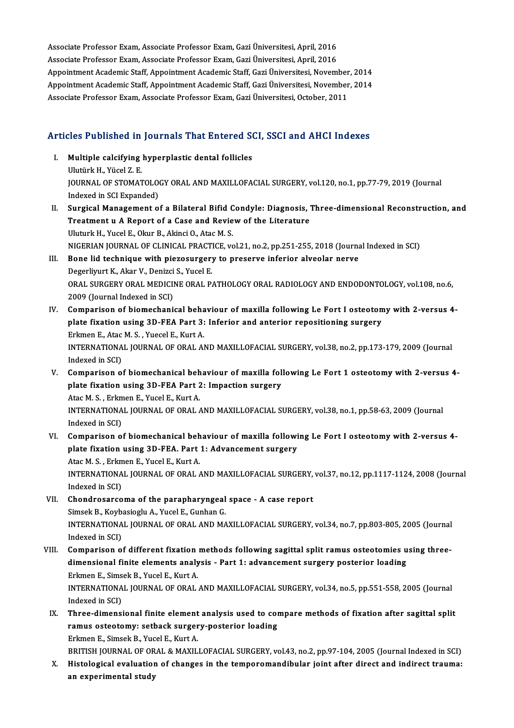Associate Professor Exam, Associate Professor Exam, Gazi Üniversitesi, April, 2016<br>Associate Professor Evam, Associate Professor Evam, Gazi Üniversitesi, April, 2016 Associate Professor Exam, Associate Professor Exam, Gazi Üniversitesi, April, 2016<br>Associate Professor Exam, Associate Professor Exam, Gazi Üniversitesi, April, 2016<br>Anneintment Asademis Staff, Anneintment Asademis Staff, Associate Professor Exam, Associate Professor Exam, Gazi Üniversitesi, April, 2016<br>Associate Professor Exam, Associate Professor Exam, Gazi Üniversitesi, April, 2016<br>Appointment Academic Staff, Appointment Academic Staff, Associate Professor Exam, Associate Professor Exam, Gazi Üniversitesi, April, 2016<br>Appointment Academic Staff, Appointment Academic Staff, Gazi Üniversitesi, November, 2014<br>Appointment Academic Staff, Appointment Academic Appointment Academic Staff, Appointment Academic Staff, Gazi Üniversitesi, November<br>Appointment Academic Staff, Appointment Academic Staff, Gazi Üniversitesi, November<br>Associate Professor Exam, Associate Professor Exam, Ga

# Associate Professor Exam, Associate Professor Exam, Gazi Universitesi, October, 2011<br>Articles Published in Journals That Entered SCI, SSCI and AHCI Indexes

- rticles Published in Journals That Entered Sole<br>I. Multiple calcifying hyperplastic dental follicles I. Multiple calcifying hyperplastic dental follicles<br>Ulutürk H., Yücel Z. E. Multiple calcifying hyperplastic dental follicles<br>Ulutürk H., Yücel Z. E.<br>JOURNAL OF STOMATOLOGY ORAL AND MAXILLOFACIAL SURGERY, vol.120, no.1, pp.77-79, 2019 (Journal<br>Indeved in SCI Eunended) Ulutürk H., Yücel Z. E.<br>JOURNAL OF STOMATOLO<br>Indexed in SCI Expanded)<br>Surgical Managamant o Indexed in SCI Expanded)<br>II. Surgical Management of a Bilateral Bifid Condyle: Diagnosis, Three-dimensional Reconstruction, and
- Indexed in SCI Expanded)<br>Surgical Management of a Bilateral Bifid Condyle: Diagnosis, '<br>Treatment u A Report of a Case and Review of the Literature<br>Uluturk H. Yusel E. Olun B. Akingi O. Atae M. S. Surgical Management of a Bilateral Bifid C<br>Treatment u A Report of a Case and Revie<br>Uluturk H., Yucel E., Okur B., Akinci O., Atac M. S.<br>NICERIAN JOURNAL OF CLINICAL PRACTICE vs Treatment u A Report of a Case and Review of the Literature<br>Uluturk H., Yucel E., Okur B., Akinci O., Atac M. S.<br>NIGERIAN JOURNAL OF CLINICAL PRACTICE, vol.21, no.2, pp.251-255, 2018 (Journal Indexed in SCI)<br>Pone lid techn Uluturk H., Yucel E., Okur B., Akinci O., Atac M. S.<br>NIGERIAN JOURNAL OF CLINICAL PRACTICE, vol.21, no.2, pp.251-255, 2018 (Journa<br>III. Bone lid technique with piezosurgery to preserve inferior alveolar nerve<br>Describuut K.
- NIGERIAN JOURNAL OF CLINICAL PRACT<br>Bone lid technique with piezosurgery<br>Degerliyurt K., Akar V., Denizci S., Yucel E.<br>OPAL SUPGERY OPAL MEDICINE OPAL P. Bone lid technique with piezosurgery to preserve inferior alveolar nerve<br>Degerliyurt K., Akar V., Denizci S., Yucel E.<br>ORAL SURGERY ORAL MEDICINE ORAL PATHOLOGY ORAL RADIOLOGY AND ENDODONTOLOGY, vol.108, no.6,<br>2009 (Jeurna Degerliyurt K., Akar V., Denizci<br>ORAL SURGERY ORAL MEDICII<br>2009 (Journal Indexed in SCI)<br>Comnarison of biomachani ORAL SURGERY ORAL MEDICINE ORAL PATHOLOGY ORAL RADIOLOGY AND ENDODONTOLOGY, vol.108, no.6,<br>2009 (Journal Indexed in SCI)<br>IV. Comparison of biomechanical behaviour of maxilla following Le Fort I osteotomy with 2-versus 4-<br>p
- 2009 (Journal Indexed in SCI)<br>Comparison of biomechanical behaviour of maxilla following Le Fort I osteoton<br>plate fixation using 3D-FEA Part 3: Inferior and anterior repositioning surgery<br>Frkmon E. Atae M.S., Yuesel E. Kur Comparison of biomechanical beha<br>plate fixation using 3D-FEA Part 3:<br>Erkmen E., Atac M. S. , Yuecel E., Kurt A.<br>INTERNATIONAL JOURNAL OF ORAL AL plate fixation using 3D-FEA Part 3: Inferior and anterior repositioning surgery<br>Erkmen E., Atac M. S. , Yuecel E., Kurt A.<br>INTERNATIONAL JOURNAL OF ORAL AND MAXILLOFACIAL SURGERY, vol.38, no.2, pp.173-179, 2009 (Journal<br>In Erkmen E., Atac<br>INTERNATIONA<br>Indexed in SCI)<br>Comporison o INTERNATIONAL JOURNAL OF ORAL AND MAXILLOFACIAL SURGERY, vol.38, no.2, pp.173-179, 2009 (Journal<br>Indexed in SCI)<br>V. Comparison of biomechanical behaviour of maxilla following Le Fort 1 osteotomy with 2-versus 4-<br>plate five
- Indexed in SCI)<br>V. Comparison of biomechanical behaviour of maxilla following Le Fort 1 osteotomy with 2-versus 4-<br>plate fixation using 3D-FEA Part 2: Impaction surgery Comparison of biomechanical beh<br>plate fixation using 3D-FEA Part 2<br>Atac M. S. , Erkmen E., Yucel E., Kurt A.<br>INTERNATIONAL JOURNAL OF ORAL INTERNATIONAL JOURNAL OF ORAL AND MAXILLOFACIAL SURGERY, vol.38, no.1, pp.58-63, 2009 (Journal Indexed in SCI) Atac M. S. , Erkm<br>INTERNATIONA<br>Indexed in SCI)<br>Comporison o
- VI. Comparison of biomechanical behaviour of maxilla following Le Fort I osteotomy with 2-versus 4-Indexed in SCI)<br>Comparison of biomechanical behaviour of maxilla followi<br>plate fixation using 3D-FEA. Part 1: Advancement surgery Comparison of biomechanical beh<br>plate fixation using 3D-FEA. Part<br>Atac M. S. , Erkmen E., Yucel E., Kurt A.<br>INTERNATIONAL JOURNAL OF ORAL plate fixation using 3D-FEA. Part 1: Advancement surgery<br>Atac M. S. , Erkmen E., Yucel E., Kurt A.<br>INTERNATIONAL JOURNAL OF ORAL AND MAXILLOFACIAL SURGERY, vol.37, no.12, pp.1117-1124, 2008 (Journal<br>Indeved in SCD. Atac M. S. , Erkm<br>INTERNATIONA<br>Indexed in SCI)<br>Chandrasarsa INTERNATIONAL JOURNAL OF ORAL AND MAXILLOFACIAL SURGERY,<br>Indexed in SCI)<br>VII. Chondrosarcoma of the parapharyngeal space - A case report<br>Simeak B. Koybasiagh, A. Vucel E. Cupban C
- Indexed in SCI)<br>VII. Chondrosarcoma of the parapharyngeal space A case report<br>Simsek B., Koybasioglu A., Yucel E., Gunhan G. Chondrosarcoma of the parapharyngeal space - A case report<br>Simsek B., Koybasioglu A., Yucel E., Gunhan G.<br>INTERNATIONAL JOURNAL OF ORAL AND MAXILLOFACIAL SURGERY, vol.34, no.7, pp.803-805, 2005 (Journal<br>Indexed in SCD. Simsek B., Koyb<br>INTERNATIONA<br>Indexed in SCI)<br>Comparison o INTERNATIONAL JOURNAL OF ORAL AND MAXILLOFACIAL SURGERY, vol.34, no.7, pp.803-805, 2005 (Journal<br>Indexed in SCI)<br>VIII. Comparison of different fixation methods following sagittal split ramus osteotomies using three-<br>dimens
- Indexed in SCI)<br>Comparison of different fixation methods following sagittal split ramus osteotomies u<br>dimensional finite elements analysis Part 1: advancement surgery posterior loading<br>Frkmen E. Simeek B. Yusel E. Kurt A Comparison of different fixation<br>dimensional finite elements analy<br>Erkmen E., Simsek B., Yucel E., Kurt A.<br>INTERNATIONAL JOURNAL OF ORAL dimensional finite elements analysis - Part 1: advancement surgery posterior loading<br>Erkmen E., Simsek B., Yucel E., Kurt A.<br>INTERNATIONAL JOURNAL OF ORAL AND MAXILLOFACIAL SURGERY, vol.34, no.5, pp.551-558, 2005 (Journal<br> Erkmen E., Sims<br>INTERNATIONA<br>Indexed in SCI)<br>Three dimensi INTERNATIONAL JOURNAL OF ORAL AND MAXILLOFACIAL SURGERY, vol.34, no.5, pp.551-558, 2005 (Journal<br>Indexed in SCI)<br>IX. Three-dimensional finite element analysis used to compare methods of fixation after sagittal split<br>namus
- Indexed in SCI)<br>Three-dimensional finite element analysis used to com<br>ramus osteotomy: setback surgery-posterior loading<br>Frkmen E. Simsek B. Yusel E. Kunt A Three-dimensional finite element<br>ramus osteotomy: setback surger<br>Erkmen E., Simsek B., Yucel E., Kurt A.<br>PRITISH JOURNAL OF ORAL & MAYU. ramus osteotomy: setback surgery-posterior loading<br>Erkmen E., Simsek B., Yucel E., Kurt A.<br>BRITISH JOURNAL OF ORAL & MAXILLOFACIAL SURGERY, vol.43, no.2, pp.97-104, 2005 (Journal Indexed in SCI)<br>Histologisel evoluation of

Erkmen E., Simsek B., Yucel E., Kurt A.<br>BRITISH JOURNAL OF ORAL & MAXILLOFACIAL SURGERY, vol.43, no.2, pp.97-104, 2005 (Journal Indexed in SCI)<br>X. Histological evaluation of changes in the temporomandibular joint after dir BRITISH JOURNAL OF OR<br>Histological evaluatior<br>an experimental study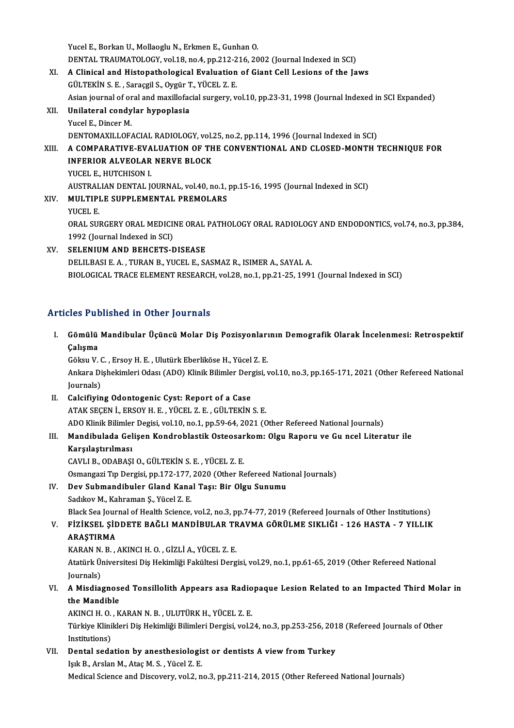Yucel E., Borkan U., Mollaoglu N., Erkmen E., Gunhan O. Yucel E., Borkan U., Mollaoglu N., Erkmen E., Gunhan O.<br>DENTAL TRAUMATOLOGY, vol.18, no.4, pp.212-216, 2002 (Journal Indexed in SCI)<br>A Clinical and Histopathological Evaluation of Ciant Call Legions of the Is Yucel E., Borkan U., Mollaoglu N., Erkmen E., Gunhan O.<br>DENTAL TRAUMATOLOGY, vol.18, no.4, pp.212-216, 2002 (Journal Indexed in SCI)<br>XI. A Clinical and Histopathological Evaluation of Giant Cell Lesions of the Jaws<br>CÜLTEVI

- DENTAL TRAUMATOLOGY, vol.18, no.4, pp.212-2<br>A Clinical and Histopathological Evaluation<br>GÜLTEKİN S. E. , Saraçgil S., Oygür T., YÜCEL Z. E. A Clinical and Histopathological Evaluation of Giant Cell Lesions of the Jaws<br>GÜLTEKİN S. E. , Saraçgil S., Oygür T., YÜCEL Z. E.<br>Asian journal of oral and maxillofacial surgery, vol.10, pp.23-31, 1998 (Journal Indexed in GÜLTEKİN S. E. , Saraçgil S., Oygür T., YÜCEL Z. E.<br>Asian journal of oral and maxillofacial surgery, v<br>XII. Unilateral condylar hypoplasia<br>Yucel E., Dincer M.
- Asian journal of or<br><mark>Unilateral condy</mark><br>Yucel E., Dincer M.<br>DENTOMAYU LOE DENTOMAXILLOFACIAL RADIOLOGY, vol.25, no.2, pp.114, 1996 (Journal Indexed in SCI) Yucel E., Dincer M.<br>DENTOMAXILLOFACIAL RADIOLOGY, vol.25, no.2, pp.114, 1996 (Journal Indexed in SCI)<br>XIII. A COMPARATIVE-EVALUATION OF THE CONVENTIONAL AND CLOSED-MONTH TECHNIQUE FOR
- DENTOMAXILLOFACIAL RADIOLOGY, vol.<br>A COMPARATIVE-EVALUATION OF TH<br>INFERIOR ALVEOLAR NERVE BLOCK<br>VICEL E HITCHISON I A COMPARATIVE-EVA<br>INFERIOR ALVEOLAR<br>YUCEL E., HUTCHISON I.<br>AUSTRALIAN DENTAL I INFERIOR ALVEOLAR NERVE BLOCK<br>YUCEL E., HUTCHISON I.<br>AUSTRALIAN DENTAL JOURNAL, vol.40, no.1, pp.15-16, 1995 (Journal Indexed in SCI)<br>MIU TIBLE SURRLEMENTAL RREMOLARS YUCEL E., HUTCHISON I.<br>AUSTRALIAN DENTAL JOURNAL, vol.40, no.1,<br>XIV. MULTIPLE SUPPLEMENTAL PREMOLARS<br>YUCEL E.
- AUSTRAL<br>M<mark>ULTIP</mark>I<br>YUCEL E.<br>ORAL SUI MULTIPLE SUPPLEMENTAL PREMOLARS<br>YUCEL E.<br>ORAL SURGERY ORAL MEDICINE ORAL PATHOLOGY ORAL RADIOLOGY AND ENDODONTICS, vol.74, no.3, pp.384,<br>1993 (Jaurnal Indoved in SCD YUCEL E.<br>ORAL SURGERY ORAL MEDICII<br>1992 (Journal Indexed in SCI)<br>SELENIUM AND BEUCETS F ORAL SURGERY ORAL MEDICINE ORAL<br>1992 (Journal Indexed in SCI)<br>XV. SELENIUM AND BEHCETS-DISEASE
- 1992 (Journal Indexed in SCI)<br>XV. SELENIUM AND BEHCETS-DISEASE<br>DELILBASI E. A. , TURAN B., YUCEL E., SASMAZ R., ISIMER A., SAYAL A. BIOLOGICAL TRACE ELEMENT RESEARCH, vol.28, no.1, pp.21-25, 1991 (Journal Indexed in SCI)

## Articles Published in Other Journals

rticles Published in Other Journals<br>I. Gömülü Mandibular Üçüncü Molar Diş Pozisyonlarının Demografik Olarak İncelenmesi: Retrospektif<br>. Galisma Gömülü<br>Gömülü<br>Çalışma Gömülü Mandibular Üçüncü Molar Diş Pozisyonları<br>Çalışma<br>Göksu V. C. , Ersoy H. E. , Ulutürk Eberliköse H., Yücel Z. E.<br>Ankara Dishekimleri Odası (ADO) Klinik Bilimler Dergisi 1

Çalışma<br>Göksu V. C. , Ersoy H. E. , Ulutürk Eberliköse H., Yücel Z. E.<br>Ankara Dişhekimleri Odası (ADO) Klinik Bilimler Dergisi, vol.10, no.3, pp.165-171, 2021 (Other Refereed National Göksu V. (<br>Ankara Di<br>Journals)<br>Coleifivin Ankara Dişhekimleri Odası (ADO) Klinik Bilimler Der<br>Journals)<br>II. Calcifiying Odontogenic Cyst: Report of a Case<br>ATAK SECEN İ. ERSOV H. E. VÜCEL Z. E. CÜLTEKİN

- Journals)<br>II. Calcifiying Odontogenic Cyst: Report of a Case<br>ATAK SEÇEN İ., ERSOY H. E. , YÜCEL Z. E. , GÜLTEKİN S. E. Calcifiying Odontogenic Cyst: Report of a Case<br>ATAK SEÇEN İ., ERSOY H. E. , YÜCEL Z. E. , GÜLTEKİN S. E.<br>ADO Klinik Bilimler Degisi, vol.10, no.1, pp.59-64, 2021 (Other Refereed National Journals)<br>Mandibulada Calisan Kandr
- III. Mandibulada Gelişen Kondroblastik Osteosarkom: Olgu Raporu ve Gu ncel Literatur ile<br>Karşılaştırılması ADO Klinik Bilimler<br>Mandibulada Gel<br>Karşılaştırılması<br>CAVLLE ODARASI
	- CAVLIB.,ODABAŞIO.,GÜLTEKİNS.E. ,YÜCEL Z.E.

Karşılaştırılması<br>CAVLI B., ODABAŞI O., GÜLTEKİN S. E. , YÜCEL Z. E.<br>Osmangazi Tıp Dergisi, pp.172-177, 2020 (Other Refereed National Journals)<br>Dev Suhmandibular Gland Kanal Tasu Bir Olsu Sunumu.

IV. Dev Submandibuler Gland Kanal Tașı: Bir Olgu Sunumu Osmangazi Tıp Dergisi, pp.172-177,<br>Dev Submandibuler Gland Kana<br>Sadıkov M., Kahraman Ş., Yücel Z. E.<br>Plask Sea Journal of Health Science

Black Sea Journal of Health Science, vol.2, no.3, pp.74-77, 2019 (Refereed Journals of Other Institutions)

## Sadıkov M., Kahraman Ş., Yücel Z. E.<br>Black Sea Journal of Health Science, vol.2, no.3, pp.74-77, 2019 (Refereed Journals of Other Institutions)<br>V. FİZİKSEL ŞİDDETE BAĞLI MANDİBULAR TRAVMA GÖRÜLME SIKLIĞI - 126 HASTA - 7 YI Black Sea Jour<br>FİZİKSEL ŞİL<br>ARAŞTIRMA<br>KARAN N R FİZİKSEL ŞİDDETE BAĞLI MANDİBULAR TF<br>ARAŞTIRMA<br>KARAN N. B. , AKINCI H. O. , GİZLİ A., YÜCEL Z. E.<br>Atatürk Üniversitesi Dis Hekimliği Fekültesi Ders

ARAŞTIRMA<br>KARAN N. B. , AKINCI H. O. , GİZLİ A., YÜCEL Z. E.<br>Atatürk Üniversitesi Diş Hekimliği Fakültesi Dergisi, vol.29, no.1, pp.61-65, 2019 (Other Refereed National KARAN N.<br>Atatürk Ülg<br>Journals)<br>A Misdia Atatürk Üniversitesi Diş Hekimliği Fakültesi Dergisi, vol.29, no.1, pp.61-65, 2019 (Other Refereed National<br>Journals)<br>VI. A Misdiagnosed Tonsillolith Appears asa Radiopaque Lesion Related to an Impacted Third Molar in<br>the

## Journals)<br>A Misdiagnos<br>the Mandible<br>AEINCLH O E A Misdiagnosed Tonsillolith Appears asa Radio<br>the Mandible<br>AKINCI H. O. , KARAN N. B. , ULUTÜRK H., YÜCEL Z. E.<br>Türkiye Klinikleri Die Hekimliği Bilimleri Dergisi yal 2

the Mandible<br>AKINCI H. O. , KARAN N. B. , ULUTÜRK H., YÜCEL Z. E.<br>Türkiye Klinikleri Diş Hekimliği Bilimleri Dergisi, vol.24, no.3, pp.253-256, 2018 (Refereed Journals of Other<br>Institutione) AKINCI H. O.<br>Türkiye Klini<br>Institutions)<br>Dental eede Türkiye Klinikleri Diş Hekimliği Bilimleri Dergisi, vol.24, no.3, pp.253-256, 201<br>Institutions)<br>VII. Dental sedation by anesthesiologist or dentists A view from Turkey<br>Jols B. Arclan M. Atac M. S. Vüçel 7. E

Institutions)<br>Dental sedation by anesthesiologi:<br>Işık B., Arslan M., Ataç M. S. , Yücel Z. E.<br>Medisal Science and Discovery, yol 2. n Işık B., Arslan M., Ataç M. S. , Yücel Z. E.<br>Medical Science and Discovery, vol.2, no.3, pp.211-214, 2015 (Other Refereed National Journals)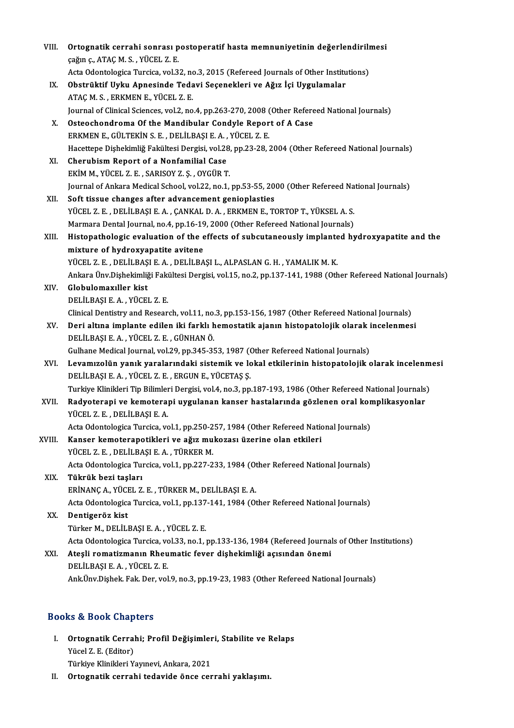| VIII.  | Ortognatik cerrahi sonrası postoperatif hasta memnuniyetinin değerlendirilmesi                               |
|--------|--------------------------------------------------------------------------------------------------------------|
|        | çağın ç., ATAÇ M. S., YÜCEL Z. E.                                                                            |
|        | Acta Odontologica Turcica, vol.32, no.3, 2015 (Refereed Journals of Other Institutions)                      |
| IX.    | Obstrüktif Uyku Apnesinde Tedavi Seçenekleri ve Ağız İçi Uygulamalar                                         |
|        | ATAÇ M. S., ERKMEN E., YÜCEL Z. E.                                                                           |
|        | Journal of Clinical Sciences, vol.2, no.4, pp.263-270, 2008 (Other Refereed National Journals)               |
| X.     | Osteochondroma Of the Mandibular Condyle Report of A Case                                                    |
|        | ERKMEN E., GÜLTEKİN S. E., DELİLBAŞI E. A., YÜCEL Z. E.                                                      |
|        | Hacettepe Dishekimliğ Fakültesi Dergisi, vol.28, pp.23-28, 2004 (Other Refereed National Journals)           |
| XI.    | Cherubism Report of a Nonfamilial Case                                                                       |
|        | EKİM M., YÜCEL Z. E., SARISOY Z. Ş., OYGÜR T.                                                                |
|        | Journal of Ankara Medical School, vol.22, no.1, pp.53-55, 2000 (Other Refereed National Journals)            |
| XII.   | Soft tissue changes after advancement genioplasties                                                          |
|        | YÜCEL Z. E., DELİLBAŞI E. A., ÇANKAL D. A., ERKMEN E., TORTOP T., YÜKSEL A. S.                               |
|        | Marmara Dental Journal, no.4, pp.16-19, 2000 (Other Refereed National Journals)                              |
| XIII.  | Histopathologic evaluation of the effects of subcutaneously implanted hydroxyapatite and the                 |
|        | mixture of hydroxyapatite avitene                                                                            |
|        | YÜCEL Z. E., DELİLBAŞI E. A., DELİLBAŞI L., ALPASLAN G. H., YAMALIK M. K.                                    |
|        | Ankara Ünv.Dişhekimliği Fakültesi Dergisi, vol.15, no.2, pp.137-141, 1988 (Other Refereed National Journals) |
| XIV.   | Globulomaxıller kist                                                                                         |
|        | DELİLBAŞI E.A., YÜCEL Z.E.                                                                                   |
|        | Clinical Dentistry and Research, vol.11, no.3, pp.153-156, 1987 (Other Refereed National Journals)           |
| XV.    | Deri altına implante edilen iki farklı hemostatik ajanın histopatolojik olarak incelenmesi                   |
|        | DELİLBAŞI E. A., YÜCEL Z. E., GÜNHAN Ö.                                                                      |
|        | Gulhane Medical Journal, vol.29, pp.345-353, 1987 (Other Refereed National Journals)                         |
| XVI.   | Levamızolün yanık yaralarındaki sistemik ve lokal etkilerinin histopatolojik olarak incelenmesi              |
|        | DELİLBAŞI E. A., YÜCEL Z. E., ERGUN E., YÜCETAŞ Ş.                                                           |
|        | Turkiye Klinikleri Tip Bilimleri Dergisi, vol.4, no.3, pp.187-193, 1986 (Other Refereed National Journals)   |
| XVII.  | Radyoterapi ve kemoterapi uygulanan kanser hastalarında gözlenen oral komplikasyonlar                        |
|        | YÜCEL Z. E., DELİLBAŞI E. A.                                                                                 |
|        | Acta Odontologica Turcica, vol.1, pp.250-257, 1984 (Other Refereed National Journals)                        |
| XVIII. | Kanser kemoterapotikleri ve ağız mukozası üzerine olan etkileri                                              |
|        | YÜCEL Z. E., DELİLBAŞI E. A., TÜRKER M.                                                                      |
|        | Acta Odontologica Turcica, vol.1, pp.227-233, 1984 (Other Refereed National Journals)                        |
| XIX.   | Tükrük bezi taşları                                                                                          |
|        | ERİNANÇA, YÜCEL Z. E., TÜRKER M., DELİLBAŞI E. A.                                                            |
|        | Acta Odontologica Turcica, vol.1, pp.137-141, 1984 (Other Refereed National Journals)                        |
| XX.    | Dentigeröz kist                                                                                              |
|        | Türker M., DELİLBAŞI E. A., YÜCEL Z. E.                                                                      |
|        | Acta Odontologica Turcica, vol.33, no.1, pp.133-136, 1984 (Refereed Journals of Other Institutions)          |
| XXI.   | Ateşli romatizmanın Rheumatic fever dişhekimliği açısından önemi                                             |
|        | DELİLBAŞI E A, YÜCEL Z E                                                                                     |
|        | Ank Ünv Dishek. Fak. Der, vol.9, no.3, pp.19-23, 1983 (Other Refereed National Journals)                     |
|        |                                                                                                              |

### Books&Book Chapters

- I. Ortognatik Cerrahi; Profil Değişimleri, Stabilite ve Relaps to & Book unap<br>Ortognatik Cerral<br>Yücel Z. E. (Editor)<br>Türkiye Klinikleri V. Ortognatik Cerrahi; Profil Değişimler<br>Yücel Z. E. (Editor)<br>Türkiye Klinikleri Yayınevi, Ankara, 2021<br>Ortognatik serrahi tedevide önge ser Yücel Z. E. (Editor)<br>Türkiye Klinikleri Yayınevi, Ankara, 2021<br>II. Ortognatik cerrahi tedavide önce cerrahi yaklaşımı.
-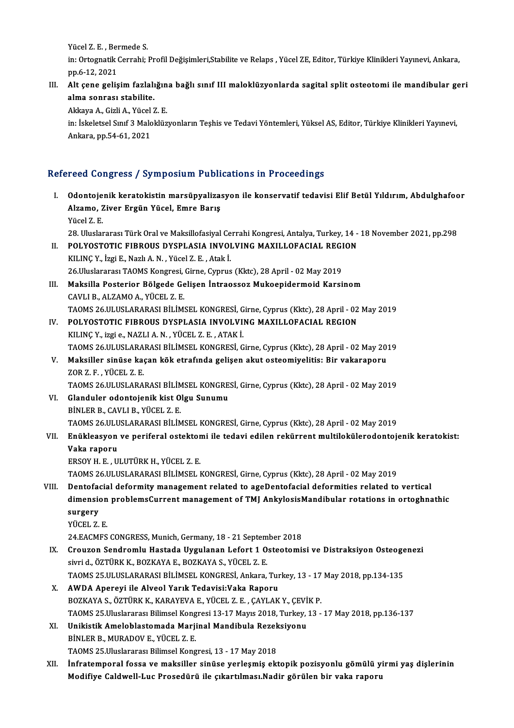Yücel Z. E. , Bermede S.<br>in: Ortogratik Cerrabi: )

in: Ortognatik Cerrahi; Profil Değişimleri,Stabilite ve Relaps , Yücel ZE, Editor, Türkiye Klinikleri Yayınevi, Ankara,<br>pp.6-12, 2021 Yücel Z. E. , Ber<br>in: Ortognatik (<br>pp.6-12, 2021<br>Alt.cone.colic In: Ortognatik Cerrahi; Profil Değişimleri,Stabilite ve Relaps , Yücel ZE, Editor, Türkiye Klinikleri Yayınevi, Ankara,<br>III. Alt çene gelişim fazlalığına bağlı sınıf III maloklüzyonlarda sagital split osteotomi ile mandibu

pp.6-12, 2021<br>Alt çene gelişim fazlalı<br>alma sonrası stabilite.<br>Akkaya A. Girli A. Vüsel 3 Alt çene gelişim fazlalığın<br>alma sonrası stabilite.<br>Akkaya A., Gizli A., Yücel Z. E.<br>in: İskeletsel Suuf 2 Maleklüz

**alma sonrası stabilite.**<br>Akkaya A., Gizli A., Yücel Z. E.<br>in: İskeletsel Sınıf 3 Maloklüzyonların Teşhis ve Tedavi Yöntemleri, Yüksel AS, Editor, Türkiye Klinikleri Yayınevi, Akkaya A., Gizli A., Yücel<br>in: İskeletsel Sınıf 3 Malc<br>Ankara, pp.54-61, 2021

## Ankara, pp.54-61, 2021<br>Refereed Congress / Symposium Publications in Proceedings

- efereed Congress / Symposium Publications in Proceedings<br>I. Odontojenik keratokistin marsüpyalizasyon ile konservatif tedavisi Elif Betül Yıldırım, Abdulghafoor<br>Alzama Zivar Fraün Yüsel, Emre Parus Alzamo, Ziver Ergün Yücel, Emre Barış<br>Alzamo, Ziver Ergün Yücel, Emre Barış<br>Vücel 7 E **Odontoje<br>Alzamo, 2**<br>Yücel Z. E.<br>29. Ulueler Alzamo, Ziver <mark>Ergün Yücel, Emre Barış</mark><br>Yücel Z. E.<br>28. Uluslararası Türk Oral ve Maksillofasiyal Cerrahi Kongresi, Antalya, Turkey, 14 - 18 November 2021, pp.298<br>POL YOSTOTIC EIRROUS DYSPLASIA JNVOLVINC MAYU LOFACIAL RECI
- Yücel Z. E.<br>28. Uluslararası Türk Oral ve Maksillofasiyal Cerrahi Kongresi, Antalya, Turkey, 14 -<br>II. POLYOSTOTIC FIBROUS DYSPLASIA INVOLVING MAXILLOFACIAL REGION<br>EU INC V. İrgi E. Narlı A. N. Yüsel Z. E. Atak İ. 28. Uluslararası Türk Oral ve Maksillofasiyal Ce<br>POLYOSTOTIC FIBROUS DYSPLASIA INVOI<br>KILINÇ Y., İzgi E., Nazlı A. N. , Yücel Z. E. , Atak İ.<br>26 Uluslaranası TAOMS Kangussi Cinne Cunnus POLYOSTOTIC FIBROUS DYSPLASIA INVOLVING MAXILLOFACIAL REGI<br>KILINÇ Y., İzgi E., Nazlı A. N. , Yücel Z. E. , Atak İ.<br>26.Uluslararası TAOMS Kongresi, Girne, Cyprus (Kktc), 28 April - 02 May 2019<br>Maksilla Bostovian Bölgədə Cəl KILINÇ Y., İzgi E., Nazlı A. N. , Yücel Z. E. , Atak İ.<br>26.Uluslararası TAOMS Kongresi, Girne, Cyprus (Kktc), 28 April - 02 May 2019<br>III. Maksilla Posterior Bölgede Gelişen İntraossoz Mukoepidermoid Karsinom<br>CAVLLB ALZAMO 26.Uluslararası TAOMS Kongresi,<br>Maksilla Posterior Bölgede Ge<br>CAVLI B., ALZAMO A., YÜCEL Z. E.<br>TAOMS 26 HI HSLARARASI RİLİM: CAVLI B., ALZAMO A., YÜCEL Z. E.<br>TAOMS 26.ULUSLARARASI BİLİMSEL KONGRESİ, Girne, Cyprus (Kktc), 28 April - 02 May 2019 CAVLI B., ALZAMO A., YÜCEL Z. E.<br>TAOMS 26.ULUSLARARASI BILIMSEL KONGRESİ, Girne, Cyprus (Kktc), 28 April - 02<br>IV. POLYOSTOTIC FIBROUS DYSPLASIA INVOLVING MAXILLOFACIAL REGION<br>KU NG Verri o NAZUA Ne YÜCEL Z. E. ATAK İ TAOMS 26.ULUSLARARASI BİLİMSEL KONGRESİ, G<br>POLYOSTOTIC FIBROUS DYSPLASIA INVOLVI!<br>KILINÇ Y., izgi e., NAZLI A. N. , YÜCEL Z. E. , ATAK İ.<br>TAOMS 26 III IISI ARARASI BİLİMSEL KONGRESİ. C POLYOSTOTIC FIBROUS DYSPLASIA INVOLVING MAXILLOFACIAL REGION<br>KILINÇ Y., izgi e., NAZLI A. N. , YÜCEL Z. E. , ATAK İ.<br>TAOMS 26.ULUSLARARASI BİLİMSEL KONGRESİ, Girne, Cyprus (Kktc), 28 April - 02 May 2019<br>Maksillar sinüse ka KILINÇ Y., izgi e., NAZLI A. N. , YÜCEL Z. E. , ATAK İ.<br>TAOMS 26.ULUSLARARASI BİLİMSEL KONGRESİ, Girne, Cyprus (Kktc), 28 April - 02 May 20:<br>V. Maksiller sinüse kaçan kök etrafında gelişen akut osteomiyelitis: Bir vaka TAOMS 26 ULUSLARA<br>Maksiller sinüse ka<br>ZOR Z. F. , YÜCEL Z. E.<br>TAOMS 26 ULUSLARA
- V. Maksiller sinüse kaçan kök etrafında gelişen akut osteomiyelitis: Bir vakaraporu<br>ZOR Z. F., YÜCEL Z. E.<br>TAOMS 26.ULUSLARARASI BİLİMSEL KONGRESİ, Girne, Cyprus (Kktc), 28 April 02 May 2019 ZOR Z. F., YÜCEL Z. E.<br>TAOMS 26.ULUSLARARASI BİLİMSEL KONGRE<br>VI. Glanduler odontojenik kist Olgu Sunumu<br>PİNLER B. CAVLLE, YÜCEL Z. E
- TAOMS 26.ULUSLARARASI BİLİM<br>Glanduler odontojenik kist O<br>BİNLER B., CAVLI B., YÜCEL Z. E.<br>TAOMS 26 ULUSLARARASI BİLİM Glanduler odontojenik kist Olgu Sunumu<br>BİNLER B., CAVLI B., YÜCEL Z. E.<br>TAOMS 26.ULUSLARARASI BİLİMSEL KONGRESİ, Girne, Cyprus (Kktc), 28 April - 02 May 2019<br>Enükleosyan ve navifaral estektemi ile tedavi edilen rekünnent m BİNLER B., CAVLI B., YÜCEL Z. E.<br>TAOMS 26.ULUSLARARASI BİLİMSEL KONGRESİ, Girne, Cyprus (Kktc), 28 April - 02 May 2019<br>VII. Enükleasyon ve periferal ostektomi ile tedavi edilen rekürrent multilokülerodontojenik keratok

## TAOMS 26.ULU<br><mark>Enükleasyon</mark><br>Vaka raporu<br>EPSOV H E - U

ERSOYH.E. ,ULUTÜRKH.,YÜCEL Z.E.

TAOMS26.ULUSLARARASIBİLİMSELKONGRESİ,Girne,Cyprus (Kktc),28April -02May2019

- ERSOY H. E. , ULUTÜRK H., YÜCEL Z. E.<br>TAOMS 26.ULUSLARARASI BILIMSEL KONGRESI, Girne, Cyprus (Kktc), 28 April 02 May 2019<br>VIII. Dentofacial deformity management related to ageDentofacial deformities related to vertical<br>d TAOMS 26.ULUSLARARASI BİLİMSEL KONGRESİ, Girne, Cyprus (Kktc), 28 April - 02 May 2019<br>Dentofacial deformity management related to ageDentofacial deformities related to vertical<br>dimension problemsCurrent management of TMJ A Dentofae<br>dimensio<br>surgery<br>vücet z dimension problemsCurrent management of TMJ AnkylosisMandibular rotations in ortoghnathic<br>surgery<br>YÜCEL Z.E.
	-

24.EACMFSCONGRESS,Munich,Germany,18 -21 September 2018

- YÜCEL Z. E.<br>24.EACMFS CONGRESS, Munich, Germany, 18 21 September 2018<br>IX. Crouzon Sendromlu Hastada Uygulanan Lefort 1 Osteotomisi ve Distraksiyon Osteogenezi<br>siyoj de ÖZTÜPK K. POZKAYA E. POZKAYA S. VÜCEL Z. E. sivri d., ÖZTÜRK K., BOZKAYA E., BOZKAYA S., YÜCEL Z. E.<br>TAOMS 25.ULUSLARARASI BİLİMSEL KONGRESİ, Ankara, Turkey, 13 - 17 May 2018, pp.134-135 Crouzon Sendromlu Hastada Uygulanan Lefort 1 Osteotomisi ve Distraksiyon Osteoge<br>sivri d., ÖZTÜRK K., BOZKAYA E., BOZKAYA S., YÜCEL Z. E.<br>TAOMS 25.ULUSLARARASI BİLİMSEL KONGRESİ, Ankara, Turkey, 13 - 17 May 2018, pp.134-13
- X. AWDA Apereyi ile Alveol Yarık Tedavisi:Vaka Raporu TAOMS 25.ULUSLARARASI BİLİMSEL KONGRESİ, Ankara, Turkey, 13 - 17<br>AWDA Apereyi ile Alveol Yarık Tedavisi:Vaka Raporu<br>BOZKAYA S., ÖZTÜRK K., KARAYEVA E., YÜCEL Z. E. , ÇAYLAK Y., ÇEVİK P.<br>TAOMS 25 Uluslaranan Bilimsel Karaye TAOMS 25.Uluslararası Bilimsel Kongresi 13-17 Mayıs 2018, Turkey, 13 - 17 May 2018, pp.136-137<br>XI. Unikistik Ameloblastomada Marjinal Mandibula Rezeksiyonu BOZKAYA S., ÖZTÜRK K., KARAYEVA E., YÜCEL Z. E. , ÇAYLAK Y., ÇEVİ<br>TAOMS 25.Uluslararası Bilimsel Kongresi 13-17 Mayıs 2018, Turkey,<br>XI. Unikistik Ameloblastomada Marjinal Mandibula Rezeksiyonu<br>PİNLER B. MURADOV E. YÜCEL Z.
- BİNLER B., MURADOV E., YÜCEL Z.E. TAOMS 25.Uluslararası Bilimsel Kongresi, 13 - 17 May 2018
- BİNLER B., MURADOV E., YÜCEL Z. E.<br>TAOMS 25.Uluslararası Bilimsel Kongresi, 13 17 May 2018<br>XII. İnfratemporal fossa ve maksiller sinüse yerleşmiş ektopik pozisyonlu gömülü yirmi yaş dişlerinin<br>Madifiya Caldurell Luc Pros TAOMS 25.Uluslararası Bilimsel Kongresi, 13 - 17 May 2018<br>İnfratemporal fossa ve maksiller sinüse yerleşmiş ektopik pozisyonlu gömülü y<br>Modifiye Caldwell-Luc Prosedürü ile çıkartılması.Nadir görülen bir vaka raporu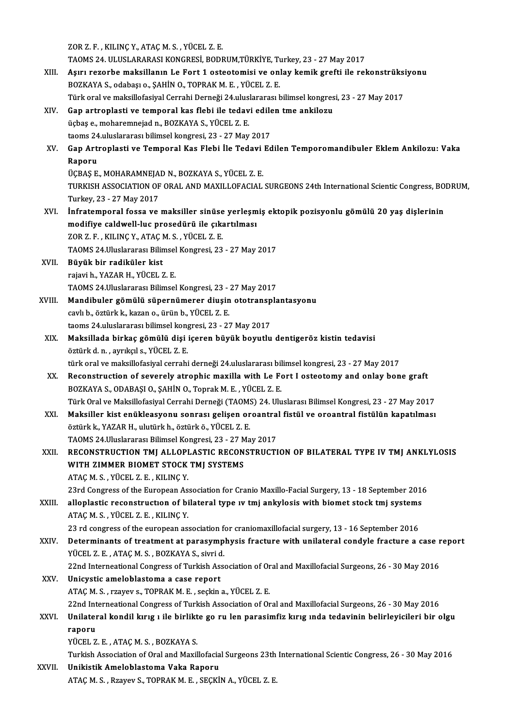ZORZ.F. ,KILINÇY.,ATAÇM.S. ,YÜCEL Z.E. ZOR Z. F. , KILINÇ Y., ATAÇ M. S. , YÜCEL Z. E.<br>TAOMS 24. ULUSLARARASI KONGRESİ, BODRUM,TÜRKİYE, Turkey, 23 - 27 May 2017<br>Asını razarba maksilların La Fart 1 astastamisi ve anlay kamik spafti ile ral ZOR Z. F. , KILINÇ Y., ATAÇ M. S. , YÜCEL Z. E.<br>TAOMS 24. ULUSLARARASI KONGRESİ, BODRUM,TÜRKİYE, Turkey, 23 - 27 May 2017<br>XIII. Aşırı rezorbe maksillanın Le Fort 1 osteotomisi ve onlay kemik grefti ile rekonstrüksiyonu TAOMS 24. ULUSLARARASI KONGRESİ, BODRUM,TÜRKİYE, T<br>Aşırı rezorbe maksillanın Le Fort 1 osteotomisi ve onl<br>BOZKAYA S., odabaşı o., ŞAHİN O., TOPRAK M. E. , YÜCEL Z. E.<br>Türk oral ve maksillafasiyal Carrabi Derneği 24 uluslar Aşırı rezorbe maksillanın Le Fort 1 osteotomisi ve onlay kemik grefti ile rekonstrüksi<br>BOZKAYA S., odabaşı o., ŞAHİN O., TOPRAK M. E. , YÜCEL Z. E.<br>Türk oral ve maksillofasiyal Cerrahi Derneği 24.uluslararası bilimsel kong BOZKAYA S., odabaşı o., ŞAHİN O., TOPRAK M. E. , YÜCEL Z. E.<br>Türk oral ve maksillofasiyal Cerrahi Derneği 24.uluslararası bilimsel kongres<br>XIV. Gap artroplasti ve temporal kas flebi ile tedavi edilen tme ankilozu<br>üchas a. Türk oral ve maksillofasiyal Cerrahi Derneği 24.uluslararası bilimsel kongresi, 23 - 27 May 2017<br>Gap artroplasti ve temporal kas flebi ile tedavi edilen tme ankilozu<br>üçbaş e., moharemnejad n., BOZKAYA S., YÜCEL Z. E.<br>taoms Gap artroplasti ve temporal kas flebi ile tedavi edile<br>üçbaş e., moharemnejad n., BOZKAYA S., YÜCEL Z. E.<br>taoms 24.uluslararası bilimsel kongresi, 23 - 27 May 2017<br>Can Artroplasti ve Temporal Kas Flebi ile Tedavi Ed üçbaş e., moharemnejad n., BOZKAYA S., YÜCEL Z. E.<br>taoms 24.uluslararası bilimsel kongresi, 23 - 27 May 2017<br>XV. Gap Artroplasti ve Temporal Kas Flebi İle Tedavi Edilen Temporomandibuler Eklem Ankilozu: Vaka<br>Panery taoms 24<br>Gap Arti<br>Raporu<br>ÜCPAS E Gap Artroplasti ve Temporal Kas Flebi İle Tedavi<br>Raporu<br>ÜÇBAŞ E., MOHARAMNEJAD N., BOZKAYA S., YÜCEL Z. E.<br>TURKISH ASSOCIATION OF ORAL AND MAYU LOFACIAL Raporu<br>ÜÇBAŞ E., MOHARAMNEJAD N., BOZKAYA S., YÜCEL Z. E.<br>TURKISH ASSOCIATION OF ORAL AND MAXILLOFACIAL SURGEONS 24th International Scientic Congress, BODRUM,<br>Turkey, 23 - 27 May 2017 ÜÇBAŞ E., MOHARAMNEJAD N., BOZKAYA S., YÜCEL Z. E. TURKISH ASSOCIATION OF ORAL AND MAXILLOFACIAL SURGEONS 24th International Scientic Congress, BO<br>Turkey, 23 - 27 May 2017<br>XVI. İnfratemporal fossa ve maksiller sinüse yerleşmiş ektopik pozisyonlu gömülü 20 yaş dişlerinin<br>mo Turkey, 23 - 27 May 2017<br>İnfratemporal fossa ve maksiller sinüse yerleşm<br>modifiye caldwell-luc prosedürü ile çıkartılması<br>70P 7 F - KU INC V-ATAC M-S - VÜCEL 7 F İnfratemporal fossa ve maksiller sinüse<br>modifiye caldwell-luc prosedürü ile çıka<br>ZOR Z. F. , KILINÇ Y., ATAÇ M. S. , YÜCEL Z. E.<br>TAQMS 24 Uluslararası Bilimsel Kanspesi 22 modifiye caldwell-luc prosedürü ile çıkartılması<br>ZOR Z. F. , KILINÇ Y., ATAÇ M. S. , YÜCEL Z. E.<br>TAOMS 24.Uluslararası Bilimsel Kongresi, 23 - 27 May 2017<br>Büyük bir rediküler kist ZOR Z. F. , KILINÇ Y., ATAÇ M. S. , YÜCEL Z. E.<br>TAOMS 24.Uluslararası Bilimsel Kongresi, 23<br>XVII. Büyük bir radiküler kist<br>rajavi h., YAZAR H., YÜCEL Z. E. TAOMS 24.Uluslararası Bilimsel<br>Büyük bir radiküler kist<br>rajavi h., YAZAR H., YÜCEL Z. E.<br>TAOMS 24 Uluslararası Bilimsel Büyük bir radiküler kist<br>rajavi h., YAZAR H., YÜCEL Z. E.<br>TAOMS 24.Uluslararası Bilimsel Kongresi, 23 - 27 May 2017<br>Mandibular gömülü günennümenen diyein etetrenenle XVIII. Mandibuler gömülü süpernümerer diuşin ototransplantasyonu cavlı b., öztürk k., kazan o., ürün b., YÜCEL Z. E. TAOMS 24.Uluslararası Bilimsel Kongresi, 23 -<br>Mandibuler gömülü süpernümerer diuşin<br>cavlı b., öztürk k., kazan o., ürün b., YÜCEL Z. E.<br>taams 24 uluslararası bilimsel kangresi, 22, ..? Mandibuler gömülü süpernümerer diuşin ototransp<br>cavlı b., öztürk k., kazan o., ürün b., YÜCEL Z. E.<br>taoms 24.uluslararası bilimsel kongresi, 23 - 27 May 2017<br>Maksillada birkas gömülü disi isaran büyük boyutlu XIX. Maksillada birkaç gömülü dişi içeren büyük boyutlu dentigeröz kistin tedavisi<br>öztürk d. n., ayrıkçıl s., YÜCEL Z. E. taoms 24.uluslararası bilimsel kong<br>Maksillada birkaç gömülü dişi<br>öztürk d. n. , ayrıkçıl s., YÜCEL Z. E.<br>türk eral ve maksillafasiyal serrebi Maksillada birkaç gömülü dişi içeren büyük boyutlu dentigeröz kistin tedavisi<br>öztürk d. n. , ayrıkçıl s., YÜCEL Z. E.<br>türk oral ve maksillofasiyal cerrahi derneği 24.uluslararası bilimsel kongresi, 23 - 27 May 2017<br>Beconst XX. Reconstruction of severely atrophic maxilla with Le Fort I osteotomy and onlay bone graft<br>BOZKAYA S., ODABAŞI O., ŞAHİN O., Toprak M. E., YÜCEL Z. E. türk oral ve maksillofasiyal cerrahi derneği 24 uluslararası bil<br>Reconstruction of severely atrophic maxilla with Le F<br>BOZKAYA S., ODABAŞI O., ŞAHİN O., Toprak M. E. , YÜCEL Z. E.<br>Türk Oral ve Maksillafasiyal Cerrabi Derne Reconstruction of severely atrophic maxilla with Le Fort I osteotomy and onlay bone graft<br>BOZKAYA S., ODABAŞI O., ŞAHİN O., Toprak M. E. , YÜCEL Z. E.<br>Türk Oral ve Maksillofasiyal Cerrahi Derneği (TAOMS) 24. Uluslarası Bil BOZKAYA S., ODABAŞI O., ŞAHİN O., Toprak M. E. , YÜCEL Z. E.<br>Türk Oral ve Maksillofasiyal Cerrahi Derneği (TAOMS) 24. Uluslarası Bilimsel Kongresi, 23 - 27 May 2017<br>XXI. Maksiller kist enükleasyonu sonrası gelişen oroantra Türk Oral ve Maksillofasiyal Cerrahi Derneği (TAOM:<br>Maksiller kist enükleasyonu sonrası gelişen or<br>öztürk k., YAZAR H., ulutürk h., öztürk ö., YÜCEL Z. E.<br>TAOMS 24 Uluslaranan Bilimsel Kangrası 22 - 27 Ma Maksiller kist enükleasyonu sonrası gelişen oroantra<br>öztürk k., YAZAR H., ulutürk h., öztürk ö., YÜCEL Z. E.<br>TAOMS 24.Uluslararası Bilimsel Kongresi, 23 - 27 May 2017<br>RECONSTRUCTION TML ALLORLASTIC RECONSTRUCTI öztürk k., YAZAR H., ulutürk h., öztürk ö., YÜCEL Z. E.<br>TAOMS 24.Uluslararası Bilimsel Kongresi, 23 - 27 May 2017<br>XXII. RECONSTRUCTION TMJ ALLOPLASTIC RECONSTRUCTION OF BILATERAL TYPE IV TMJ ANKLYLOSIS<br>WITH ZIMMER BIOMET S TAOMS 24.Uluslararası Bilimsel Kongresi, 23 - 27 M<br>RECONSTRUCTION TMJ ALLOPLASTIC RECON<br>WITH ZIMMER BIOMET STOCK TMJ SYSTEMS<br>ATAC M S - VÜCEL 7-E - VU INC V ATAÇM.S. ,YÜCEL Z.E. ,KILINÇY. 23rd Congress of the European Association for Cranio Maxillo-Facial Surgery, 13 - 18 September 2016 ATAÇ M. S. , YÜCEL Z. E. , KILINÇ Y.<br>23rd Congress of the European Association for Cranio Maxillo-Facial Surgery, 13 - 18 September 2016<br>23. XXIII. alloplastic reconstruction of bilateral type iv tmj ankylosis with biomet ATAÇ M. S. , YÜCEL Z. E. , KILINÇ Y.<br>23 rd congress of the european association for craniomaxillofacial surgery, 13 - 16 September 2016 alloplastic reconstruction of bilateral type iv tmj ankylosis with biomet stock tmj systems<br>ATAÇ M. S., YÜCEL Z. E., KILINÇ Y.<br>23 rd congress of the european association for craniomaxillofacial surgery, 13 - 16 September 2 XXIV. Determinants of treatment at parasymphysis fracture with unilateral condyle fracture a case report YÜCEL Z.E., ATAÇM.S., BOZKAYA S., sivrid. Determinants of treatment at parasymphysis fracture with unilateral condyle fracture a case r<br>22nd Interneational Congress of Turkish Association of Oral and Maxillofacial Surgeons, 26 - 30 May 2016<br>Uniquatio amalabhastama YÜCEL Z. E., ATAÇ M. S., BOZKAYA S., sivri d<br>22nd Interneational Congress of Turkish As:<br>XXV. Unicystic ameloblastoma a case report 22nd Interneational Congress of Turkish Association of Or<br>Unicystic ameloblastoma a case report<br>ATAÇ M. S., rzayev s., TOPRAK M. E., seçkin a., YÜCEL Z. E.<br>22nd Interneational Congress of Turkish Association of Or Unicystic ameloblastoma a case report<br>ATAÇ M. S. , rzayev s., TOPRAK M. E. , seçkin a., YÜCEL Z. E.<br>22nd Interneational Congress of Turkish Association of Oral and Maxillofacial Surgeons, 26 - 30 May 2016<br>Unilateral kondil ATAÇ M. S. , rzayev s., TOPRAK M. E. , seçkin a., YÜCEL Z. E.<br>22nd Interneational Congress of Turkish Association of Oral and Maxillofacial Surgeons, 26 - 30 May 2016<br>XXVI. Unilateral kondil kırıg 1 ile birlikte go ru l 22nd Int<br><mark>Unilater</mark><br>raporu<br>vücer z Unilateral kondil kırıg ı ile birlikt<br>raporu<br>YÜCEL Z.E., ATAÇ M.S., BOZKAYA S.<br>Turkich Assosiation of Orel and Movil raporu<br>YÜCEL Z. E. , ATAÇ M. S. , BOZKAYA S.<br>Turkish Association of Oral and Maxillofacial Surgeons 23th International Scientic Congress, 26 - 30 May 2016 XXVII. Unikistik Ameloblastoma Vaka Raporu ATAÇM.S. ,Rzayev S.,TOPRAKM.E. ,SEÇKİNA.,YÜCEL Z.E.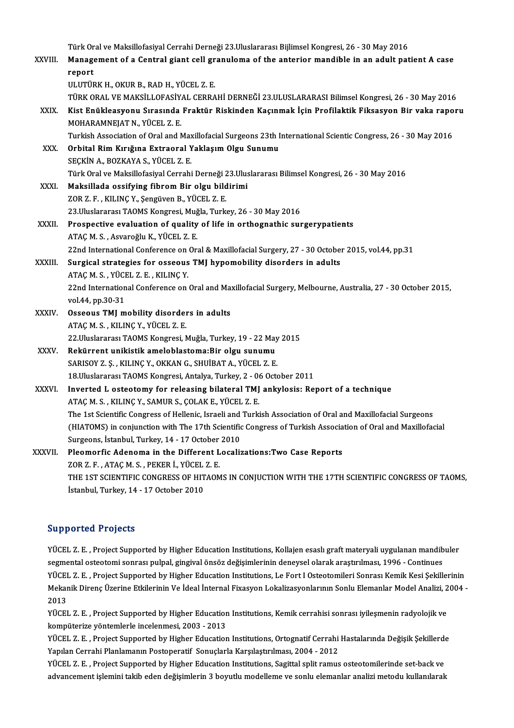Türk Oral ve Maksillofasiyal Cerrahi Derneği 23.Uluslararası Bijlimsel Kongresi, 26 - 30 May 2016<br>Management of a Central giant sell granulama of the enterior mandible in an adult nat Türk Oral ve Maksillofasiyal Cerrahi Derneği 23.Uluslararası Bijlimsel Kongresi, 26 - 30 May 2016<br>XXVIII. Management of a Central giant cell granuloma of the anterior mandible in an adult patient A case Türk Or<br><mark>Manag</mark>e<br>report<br>III UTÜR Management of a Central giant cell gr<br>report<br>ULUTÜRK H., OKUR B., RAD H., YÜCEL Z. E.<br>TÜRK ORAL VE MAKSU LOFASİYAL CERRA report<br>ULUTÜRK H., OKUR B., RAD H., YÜCEL Z. E.<br>TÜRK ORAL VE MAKSİLLOFASİYAL CERRAHİ DERNEĞİ 23.ULUSLARARASI Bilimsel Kongresi, 26 - 30 May 2016<br>Kist Enüklessyonu Susasında Eraktür Biskinden Kasınmak İsin Prefilaktik Eiksa ULUTÜRK H., OKUR B., RAD H., YÜCEL Z. E.<br>TÜRK ORAL VE MAKSİLLOFASİYAL CERRAHİ DERNEĞİ 23.ULUSLARARASI Bilimsel Kongresi, 26 - 30 May 2016<br>XXIX. Kist Enükleasyonu Sırasında Fraktür Riskinden Kaçınmak İçin Profilaktik Fi TÜRK ORAL VE MAKSİLLOFASİY.<br>Kist Enükleasyonu Sırasında<br>MOHARAMNEJAT N., YÜCEL Z. E.<br>Turkich Assosiation of Oral and N Kist Enükleasyonu Sırasında Fraktür Riskinden Kaçınmak İçin Profilaktik Fiksasyon Bir vaka raporu<br>MOHARAMNEJAT N., YÜCEL Z. E.<br>Turkish Association of Oral and Maxillofacial Surgeons 23th International Scientic Congress, 26 MOHARAMNEJAT N., YÜCEL Z. E.<br>Turkish Association of Oral and Maxillofacial Surgeons 23th I<br>XXX. Orbital Rim Kırığına Extraoral Yaklaşım Olgu Sunumu<br>SECKİN A. POZKAYA S. YÜCEL Z. E Turkish Association of Oral and Max<br><mark>Orbital Rim Kırığına Extraoral Y</mark><br>SEÇKİN A., BOZKAYA S., YÜCEL Z. E.<br>Türk Oral ve Maksillefasiyal Carrabi SEÇKİN A., BOZKAYA S., YÜCEL Z. E.<br>Türk Oral ve Maksillofasiyal Cerrahi Derneği 23.Uluslararası Bilimsel Kongresi, 26 - 30 May 2016 XXXI. Maksillada ossifying fibrom Bir olgu bildirimi ZORZ.F. ,KILINÇY.,ŞengüvenB.,YÜCEL Z.E. 23.UluslararasıTAOMSKongresi,Muğla,Turkey,26 -30May2016 XXXII. Prospective evaluation of quality of life in orthognathic surgerypatients ATAÇM.S. ,AsvaroğluK.,YÜCEL Z.E. 22nd International Conference on Oral & Maxillofacial Surgery, 27 - 30 October 2015, vol.44, pp.31 ATAÇ M. S. , Asvaroğlu K., YÜCEL Z. E.<br>22nd International Conference on Oral & Maxillofacial Surgery, 27 - 30 Octobe:<br>XXXIII. Surgical strategies for osseous TMJ hypomobility disorders in adults<br><sup>ATAC</sup>M S. VÜCEL Z. E. KU I 22nd International Conference on<br>Surgical strategies for osseous<br>ATAÇ M. S. , YÜCEL Z. E. , KILINÇ Y.<br>22nd International Conference on Surgical strategies for osseous TMJ hypomobility disorders in adults<br>ATAÇ M. S. , YÜCEL Z. E. , KILINÇ Y.<br>22nd International Conference on Oral and Maxillofacial Surgery, Melbourne, Australia, 27 - 30 October 2015,<br>vol.44, ATAÇ M. S. , YÜCI<br>22nd Internation<br>vol.44, pp.30-31<br>Ossoous TML m 22nd International Conference on Oral and Ma:<br>vol.44, pp.30-31<br>XXXIV. Osseous TMJ mobility disorders in adults<br> $\Delta TAGM S$ , VILINC V, VÜCEL 7, E vol.44, pp.30-31<br>Osseous TMJ mobility disorders in adults<br>ATAÇ M. S. , KILINÇ Y., YÜCEL Z. E. Osseous TMJ mobility disorders in adults<br>ATAÇ M. S. , KILINÇ Y., YÜCEL Z. E.<br>22.Uluslararası TAOMS Kongresi, Muğla, Turkey, 19 - 22 May 2015<br>Bekürrent unikistik ameleblastema:Bir elsu sunumu ATAÇ M. S. , KILINÇ Y., YÜCEL Z. E.<br>22.Uluslararası TAOMS Kongresi, Muğla, Turkey, 19 - 22 May<br>XXXV. Rekürrent unikistik ameloblastoma:Bir olgu sunumu<br>SABISOV Z.S., KILINC V. OKKAN C. SHIJIBAT A. YÜCEL Z.E. 22.Uluslararası TAOMS Kongresi, Muğla, Turkey, 19 - 22 May<br>Rekürrent unikistik ameloblastoma:Bir olgu sunumu<br>SARISOY Z. Ş. , KILINÇ Y., OKKAN G., SHUİBAT A., YÜCEL Z. E.<br>18 Uluslararası TAOMS Kongresi, Antalya, Turkey, 2., Rekürrent unikistik ameloblastoma:Bir olgu sunumu<br>SARISOY Z. Ş., KILINÇ Y., OKKAN G., SHUİBAT A., YÜCEL Z. E.<br>18.Uluslararası TAOMS Kongresi, Antalya, Turkey, 2 - 06 October 2011 XXXVI. Inverted L osteotomy for releasing bilateral TMJ ankylosis: Report of a technique ATAÇM.S. ,KILINÇY.,SAMURS.,ÇOLAKE.,YÜCEL Z.E. The 1st Scientific Congress of Hellenic, Israeli and Turkish Association of Oral and Maxillofacial Surgeons (HIATOMS) in conjunction with The 17th Scientific Congress of Turkish Association of Oral and Maxillofacial Surgeons, İstanbul, Turkey, 14 - 17 October 2010 (HIATOMS) in conjunction with The 17th Scientific Congress of Turkish Associa<br>Surgeons, İstanbul, Turkey, 14 - 17 October 2010<br>XXXVII. Pleomorfic Adenoma in the Different Localizations:Two Case Reports<br>70P 7 E ATAC M S PEK Surgeons, İstanbul, Turkey, 14 - 17 October<br>Pleomorfic Adenoma in the Different L<br>ZOR Z. F. , ATAÇ M. S. , PEKER İ., YÜCEL Z. E.<br>THE 1ST SCIENTIEIC CONCRESS OF HITAON Pleomorfic Adenoma in the Different Localizations:Two Case Reports<br>ZOR Z. F. , ATAÇ M. S. , PEKER İ., YÜCEL Z. E.<br>THE 1ST SCIENTIFIC CONGRESS OF HITAOMS IN CONJUCTION WITH THE 17TH SCIENTIFIC CONGRESS OF TAOMS,<br>İstanbul Tu ZOR Z. F. , ATAÇ M. S. , PEKER İ., YÜCEL<br>THE 1ST SCIENTIFIC CONGRESS OF HIT<br>İstanbul, Turkey, 14 - 17 October 2010 İstanbul, Turkey, 14 - 17 October 2010<br>Supported Projects

Supported Projects<br>YÜCEL Z.E. , Project Supported by Higher Education Institutions, Kollajen esaslı graft materyali uygulanan mandibuler<br>segmentel estestemi sennası pulpal, gingiyal önsög değişimlerinin denevsel elerek ara supporteur i rejects<br>YÜCEL Z. E. , Project Supported by Higher Education Institutions, Kollajen esaslı graft materyali uygulanan mandib<br>Segmental osteotomi sonrası pulpal, gingival önsöz değişimlerinin deneysel olarak araş YÜCEL Z. E. , Project Supported by Higher Education Institutions, Kollajen esaslı graft materyali uygulanan mandibuler<br>segmental osteotomi sonrası pulpal, gingival önsöz değişimlerinin deneysel olarak araştırılması, 1996 segmental osteotomi sonrası pulpal, gingival önsöz değişimlerinin deneysel olarak araştırılması, 1996 - Continues<br>YÜCEL Z. E. , Project Supported by Higher Education Institutions, Le Fort I Osteotomileri Sonrası Kemik Kesi YÜCEI<br>Mekar<br>2013<br>VÜCEI Mekanik Direnç Üzerine Etkilerinin Ve İdeal İnternal Fixasyon Lokalizasyonlarının Sonlu Elemanlar Model Analizi, 2<br>2013<br>YÜCEL Z. E. , Project Supported by Higher Education Institutions, Kemik cerrahisi sonrası iyileşmenin

2013<br>YÜCEL Z. E. , Project Supported by Higher Education Institutions, Kemik cerrahisi sonrası iyileşmenin radyolojik ve<br>kompüterize yöntemlerle incelenmesi, 2003 - 2013 YÜCEL Z. E. , Project Supported by Higher Education Institutions, Kemik cerrahisi sonrası iyileşmenin radyolojik ve<br>kompüterize yöntemlerle incelenmesi, 2003 - 2013<br>YÜCEL Z. E. , Project Supported by Higher Education Insti

Yapılan Cerrahi Planlamanın Postoperatif Sonuçlarla Karşılaştırılması, 2004 - 2012<br>YÜCEL Z. E. , Project Supported by Higher Education Institutions, Sagittal split ramus osteotomilerinde set-back ve YÜCEL Z. E. , Project Supported by Higher Education Institutions, Ortognatif Cerrahi Hastalarında Değişik Şekillerd<br>Yapılan Cerrahi Planlamanın Postoperatif Sonuçlarla Karşılaştırılması, 2004 - 2012<br>YÜCEL Z. E. , Project

advancement işlemini takib eden değişimlerin 3 boyutlu modelleme ve sonlu elemanlar analizi metodu kullanılarak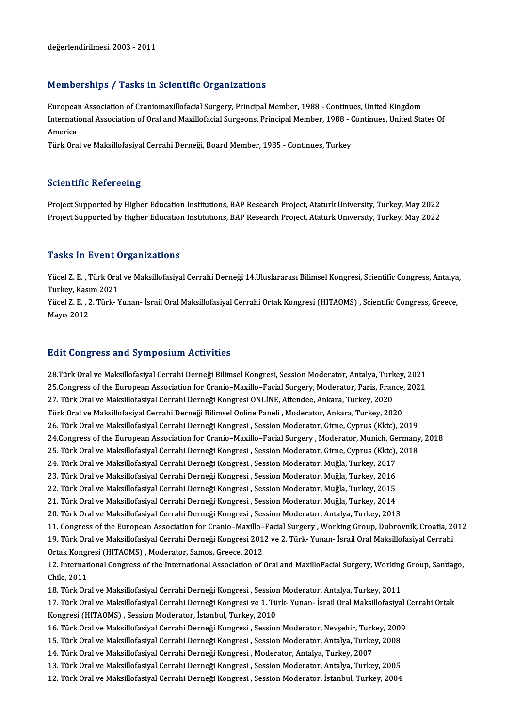#### Memberships / Tasks in Scientific Organizations

Memberships / Tasks in Scientific Organizations<br>European Association of Craniomaxillofacial Surgery, Principal Member, 1988 - Continues, United Kingdom<br>International Association of Oral and Maxillofacial Surgeons, Principa International Association of Craniomaxillofacial Surgery, Principal Member, 1988 - Continues, United Kingdom<br>International Association of Oral and Maxillofacial Surgeons, Principal Member, 1988 - Continues, United States O Europeal<br>Internation<br>America<br>Türk Ora International Association of Oral and Maxillofacial Surgeons, Principal Member, 1988 - (<br>America<br>Türk Oral ve Maksillofasiyal Cerrahi Derneği, Board Member, 1985 - Continues, Turkey

Türk Oral ve Maksillofasiyal Cerrahi Derneği, Board Member, 1985 - Continues, Turkey<br>Scientific Refereeing

Scientific Refereeing<br>Project Supported by Higher Education Institutions, BAP Research Project, Ataturk University, Turkey, May 2022<br>Project Supported by Higher Education Institutions, BAP Research Project, Ataturk Univers Berentinne Nereneoing<br>Project Supported by Higher Education Institutions, BAP Research Project, Ataturk University, Turkey, May 2022<br>Project Supported by Higher Education Institutions, BAP Research Project, Ataturk Univers Project Supported by Higher Education Institutions, BAP Research Project, Ataturk University, Turkey, May 2022<br>Tasks In Event Organizations

**Tasks In Event Organizations**<br>Yücel Z. E. , Türk Oral ve Maksillofasiyal Cerrahi Derneği 14.Uluslararası Bilimsel Kongresi, Scientific Congress, Antalya,<br>Turkey, Kosum 2021 Turkey, Kasım 2021<br>Turkey, Kasım 2021<br>Yücel 7, E., 2, Türk, N Yücel Z. E. , Türk Oral ve Maksillofasiyal Cerrahi Derneği 14.Uluslararası Bilimsel Kongresi, Scientific Congress, Antalya<br>Turkey, Kasım 2021<br>Yücel Z. E. , 2. Türk- Yunan- İsrail Oral Maksillofasiyal Cerrahi Ortak Kongresi

Turkey, Kasım 2021<br>Yücel Z. E. , 2. Türk- Yunan- İsrail Oral Maksillofasiyal Cerrahi Ortak Kongresi (HITAOMS) , Scientific Congress, Greece,<br>Mavıs 2012

#### **Edit Congress and Symposium Activities**

29. <mark>Edit Congress and Symposium Activities</mark><br>28.Türk Oral ve Maksillofasiyal Cerrahi Derneği Bilimsel Kongresi, Session Moderator, Antalya, Turkey, 2021<br>25.Congress of the European Association for Cranje, Maville, Eacial S 28.Türk Oral ve Maksillofasiyal Cerrahi Derneği Bilimsel Kongresi, Session Moderator, Antalya, Turkey, 2021<br>25.Congress of the European Association for Cranio–Maxillo–Facial Surgery, Moderator, Paris, France, 2021<br>27. Türk 28.Türk Oral ve Maksillofasiyal Cerrahi Derneği Bilimsel Kongresi, Session Moderator, Antalya, Turk<br>25.Congress of the European Association for Cranio–Maxillo–Facial Surgery, Moderator, Paris, Fran<br>27. Türk Oral ve Maksill 25.Congress of the European Association for Cranio–Maxillo–Facial Surgery, Moderator, Paris, France, 2021<br>27. Türk Oral ve Maksillofasiyal Cerrahi Derneği Kongresi ONLİNE, Attendee, Ankara, Turkey, 2020<br>Türk Oral ve Maksil 26. Türk Oral ve Maksillofasiyal Cerrahi Derneği Kongresi , Session Moderator, Girne, Cyprus (Kktc), 2019 Türk Oral ve Maksillofasiyal Cerrahi Derneği Bilimsel Online Paneli , Moderator, Ankara, Turkey, 2020<br>26. Türk Oral ve Maksillofasiyal Cerrahi Derneği Kongresi , Session Moderator, Girne, Cyprus (Kktc), 2019<br>24.Congress of 26. Türk Oral ve Maksillofasiyal Cerrahi Derneği Kongresi , Session Moderator, Girne, Cyprus (Kktc), 2019<br>24.Congress of the European Association for Cranio–Maxillo–Facial Surgery , Moderator, Munich, Germany<br>25. Türk Oral 24.Congress of the European Association for Cranio–Maxillo–Facial Surgery , Moderator, Munich, Ge<br>25. Türk Oral ve Maksillofasiyal Cerrahi Derneği Kongresi , Session Moderator, Girne, Cyprus (Kktc),<br>24. Türk Oral ve Maksil 25. Türk Oral ve Maksillofasiyal Cerrahi Derneği Kongresi , Session Moderator, Girne, Cyprus (Kktc), 2018<br>24. Türk Oral ve Maksillofasiyal Cerrahi Derneği Kongresi , Session Moderator, Muğla, Turkey, 2017<br>23. Türk Oral ve 24. Türk Oral ve Maksillofasiyal Cerrahi Derneği Kongresi , Session Moderator, Muğla, Turkey, 2017<br>23. Türk Oral ve Maksillofasiyal Cerrahi Derneği Kongresi , Session Moderator, Muğla, Turkey, 2016<br>22. Türk Oral ve Maksill 23. Türk Oral ve Maksillofasiyal Cerrahi Derneği Kongresi , Session Moderator, Muğla, Turkey, 2016 20. Türk Oral ve Maksillofasiyal Cerrahi Derneği Kongresi , Session Moderator, Antalya, Turkey, 2013 21. Türk Oral ve Maksillofasiyal Cerrahi Derneği Kongresi , Session Moderator, Muğla, Turkey, 2014<br>20. Türk Oral ve Maksillofasiyal Cerrahi Derneği Kongresi , Session Moderator, Antalya, Turkey, 2013<br>11. Congress of the Eu 20. Türk Oral ve Maksillofasiyal Cerrahi Derneği Kongresi , Session Moderator, Antalya, Turkey, 2013<br>11. Congress of the European Association for Cranio–Maxillo–Facial Surgery , Working Group, Dubrovnik, Croatia, 20<br>19. Tü 11. Congress of the European Association for Cranio–Maxillo–19. Türk Oral ve Maksillofasiyal Cerrahi Derneği Kongresi 201<br>Ortak Kongresi (HITAOMS) , Moderator, Samos, Greece, 2012<br>12. International Congress of the Internat 19. Türk Oral ve Maksillofasiyal Cerrahi Derneği Kongresi 2012 ve 2. Türk- Yunan- İsrail Oral Maksillofasiyal Cerrahi<br>Ortak Kongresi (HITAOMS) , Moderator, Samos, Greece, 2012<br>12. International Congress of the Internationa Ortak Kongr<br>12. Internat<br>Chile, 2011<br>19. Türk Or 12. International Congress of the International Association of Oral and MaxilloFacial Surgery, Working<br>Chile, 2011<br>18. Türk Oral ve Maksillofasiyal Cerrahi Derneği Kongresi , Session Moderator, Antalya, Turkey, 2011<br>17. Tü Chile, 2011<br>18. Türk Oral ve Maksillofasiyal Cerrahi Derneği Kongresi , Session Moderator, Antalya, Turkey, 2011<br>17. Türk Oral ve Maksillofasiyal Cerrahi Derneği Kongresi ve 1. Türk- Yunan- İsrail Oral Maksillofasiyal Cerr 18. Türk Oral ve Maksillofasiyal Cerrahi Derneği Kongresi , Session<br>17. Türk Oral ve Maksillofasiyal Cerrahi Derneği Kongresi ve 1. Tü<br>Kongresi (HITAOMS) , Session Moderator, İstanbul, Turkey, 2010<br>16. Türk Oral ve Maksill 17. Türk Oral ve Maksillofasiyal Cerrahi Derneği Kongresi ve 1. Türk- Yunan- İsrail Oral Maksillofasiyal (<br>Kongresi (HITAOMS) , Session Moderator, İstanbul, Turkey, 2010<br>16. Türk Oral ve Maksillofasiyal Cerrahi Derneği Kon Kongresi (HITAOMS) , Session Moderator, İstanbul, Turkey, 2010<br>16. Türk Oral ve Maksillofasiyal Cerrahi Derneği Kongresi , Session Moderator, Nevşehir, Turkey, 2009<br>15. Türk Oral ve Maksillofasiyal Cerrahi Derneği Kongresi 16. Türk Oral ve Maksillofasiyal Cerrahi Derneği Kongresi , Session Moderator, Nevşehir, Turk<br>15. Türk Oral ve Maksillofasiyal Cerrahi Derneği Kongresi , Session Moderator, Antalya, Turke<br>14. Türk Oral ve Maksillofasiyal C 15. Türk Oral ve Maksillofasiyal Cerrahi Derneği Kongresi , Session Moderator, Antalya, Turkey, 2008<br>14. Türk Oral ve Maksillofasiyal Cerrahi Derneği Kongresi , Moderator, Antalya, Turkey, 2007<br>13. Türk Oral ve Maksillofas 14. Türk Oral ve Maksillofasiyal Cerrahi Derneği Kongresi , Moderator, Antalya, Turkey, 2007<br>13. Türk Oral ve Maksillofasiyal Cerrahi Derneği Kongresi , Session Moderator, Antalya, Turkey, 2005<br>12. Türk Oral ve Maksillofas